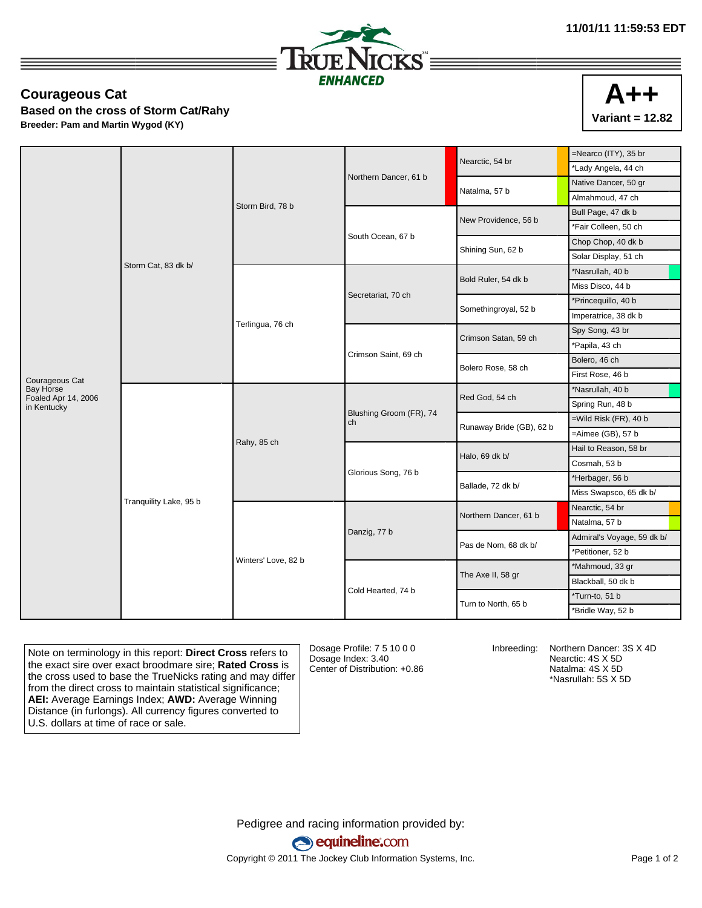



## **Courageous Cat**

**Based on the cross of Storm Cat/Rahy Breeder: Pam and Martin Wygod (KY)**

|                                  |                        |                     |                               | Nearctic, 54 br          | =Nearco (ITY), 35 br                                                                                                                                                                                                             |
|----------------------------------|------------------------|---------------------|-------------------------------|--------------------------|----------------------------------------------------------------------------------------------------------------------------------------------------------------------------------------------------------------------------------|
|                                  |                        | Storm Bird, 78 b    |                               |                          | *Lady Angela, 44 ch                                                                                                                                                                                                              |
|                                  |                        |                     | Northern Dancer, 61 b         | Natalma, 57 b            | Native Dancer, 50 gr                                                                                                                                                                                                             |
|                                  |                        |                     |                               |                          | Almahmoud, 47 ch                                                                                                                                                                                                                 |
|                                  |                        |                     |                               | New Providence, 56 b     | Bull Page, 47 dk b                                                                                                                                                                                                               |
|                                  | Storm Cat, 83 dk b/    |                     |                               |                          | *Fair Colleen, 50 ch                                                                                                                                                                                                             |
|                                  |                        |                     | South Ocean, 67 b             | Shining Sun, 62 b        | Chop Chop, 40 dk b                                                                                                                                                                                                               |
|                                  |                        |                     |                               |                          | Solar Display, 51 ch                                                                                                                                                                                                             |
|                                  |                        |                     |                               | Bold Ruler, 54 dk b      | *Nasrullah, 40 b                                                                                                                                                                                                                 |
|                                  |                        |                     |                               |                          | Miss Disco, 44 b                                                                                                                                                                                                                 |
|                                  |                        |                     | Secretariat, 70 ch            | Somethingroyal, 52 b     | *Princequillo, 40 b                                                                                                                                                                                                              |
|                                  |                        |                     |                               |                          | Imperatrice, 38 dk b                                                                                                                                                                                                             |
|                                  |                        | Terlingua, 76 ch    |                               | Crimson Satan, 59 ch     | Spy Song, 43 br<br>*Papila, 43 ch<br>Bolero, 46 ch<br>First Rose, 46 b                                                                                                                                                           |
|                                  |                        |                     | Crimson Saint, 69 ch          |                          |                                                                                                                                                                                                                                  |
|                                  |                        |                     |                               | Bolero Rose, 58 ch       |                                                                                                                                                                                                                                  |
| Courageous Cat                   |                        |                     |                               |                          |                                                                                                                                                                                                                                  |
| Bay Horse<br>Foaled Apr 14, 2006 |                        |                     | Blushing Groom (FR), 74<br>ch | Red God, 54 ch           | *Nasrullah, 40 b                                                                                                                                                                                                                 |
| in Kentucky                      |                        |                     |                               |                          | Spring Run, 48 b                                                                                                                                                                                                                 |
|                                  |                        |                     |                               | Runaway Bride (GB), 62 b | $=$ Wild Risk (FR), 40 b<br>$=$ Aimee (GB), 57 $b$<br>Hail to Reason, 58 br                                                                                                                                                      |
|                                  |                        | Rahy, 85 ch         |                               |                          |                                                                                                                                                                                                                                  |
|                                  |                        |                     |                               | Halo, 69 dk b/           | Cosmah, 53 b<br>*Herbager, 56 b<br>Miss Swapsco, 65 dk b/<br>Nearctic, 54 br<br>Natalma, 57 b<br>Admiral's Voyage, 59 dk b/<br>*Petitioner, 52 b<br>*Mahmoud, 33 gr<br>Blackball, 50 dk b<br>*Turn-to, 51 b<br>*Bridle Way, 52 b |
|                                  |                        |                     |                               |                          |                                                                                                                                                                                                                                  |
|                                  |                        |                     | Glorious Song, 76 b           | Ballade, 72 dk b/        |                                                                                                                                                                                                                                  |
|                                  |                        |                     |                               |                          |                                                                                                                                                                                                                                  |
|                                  | Tranquility Lake, 95 b |                     |                               | Northern Dancer, 61 b    |                                                                                                                                                                                                                                  |
|                                  |                        |                     |                               |                          |                                                                                                                                                                                                                                  |
|                                  |                        |                     | Danzig, 77 b                  | Pas de Nom, 68 dk b/     |                                                                                                                                                                                                                                  |
|                                  |                        |                     |                               |                          |                                                                                                                                                                                                                                  |
|                                  |                        | Winters' Love, 82 b | Cold Hearted, 74 b            | The Axe II, 58 gr        |                                                                                                                                                                                                                                  |
|                                  |                        |                     |                               |                          |                                                                                                                                                                                                                                  |
|                                  |                        |                     |                               | Turn to North, 65 b      |                                                                                                                                                                                                                                  |
|                                  |                        |                     |                               |                          |                                                                                                                                                                                                                                  |

Note on terminology in this report: **Direct Cross** refers to the exact sire over exact broodmare sire; **Rated Cross** is the cross used to base the TrueNicks rating and may differ from the direct cross to maintain statistical significance; **AEI:** Average Earnings Index; **AWD:** Average Winning Distance (in furlongs). All currency figures converted to U.S. dollars at time of race or sale.

Dosage Profile: 7 5 10 0 0 Dosage Index: 3.40 Center of Distribution: +0.86

Inbreeding: Northern Dancer: 3S X 4D Nearctic: 4S X 5D Natalma: 4S X 5D \*Nasrullah: 5S X 5D

Pedigree and racing information provided by: equineline.com Copyright © 2011 The Jockey Club Information Systems, Inc. example 2012 Page 1 of 2